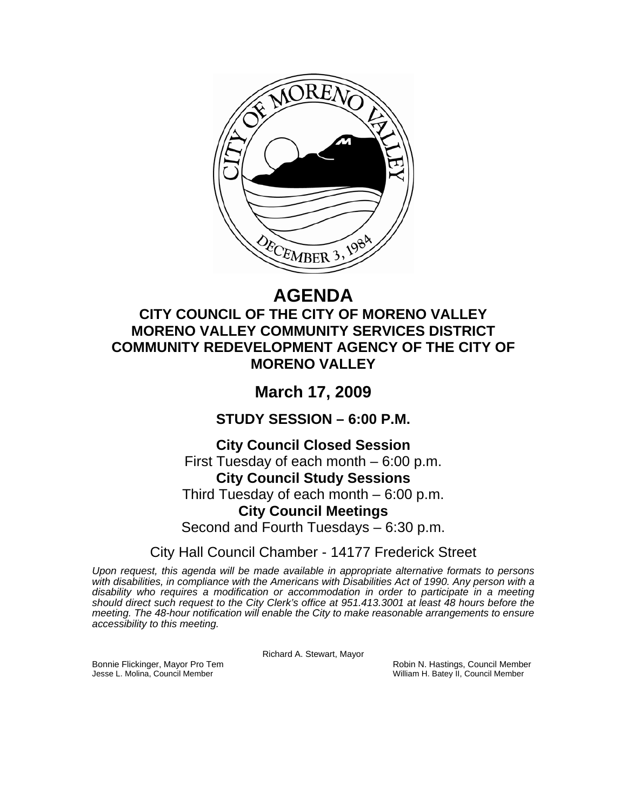

# **AGENDA**

## **CITY COUNCIL OF THE CITY OF MORENO VALLEY MORENO VALLEY COMMUNITY SERVICES DISTRICT COMMUNITY REDEVELOPMENT AGENCY OF THE CITY OF MORENO VALLEY**

# **March 17, 2009**

**STUDY SESSION – 6:00 P.M.** 

### **City Council Closed Session**

First Tuesday of each month – 6:00 p.m. **City Council Study Sessions**  Third Tuesday of each month – 6:00 p.m. **City Council Meetings**  Second and Fourth Tuesdays – 6:30 p.m.

City Hall Council Chamber - 14177 Frederick Street

*Upon request, this agenda will be made available in appropriate alternative formats to persons with disabilities, in compliance with the Americans with Disabilities Act of 1990. Any person with a disability who requires a modification or accommodation in order to participate in a meeting should direct such request to the City Clerk's office at 951.413.3001 at least 48 hours before the meeting. The 48-hour notification will enable the City to make reasonable arrangements to ensure accessibility to this meeting.* 

Richard A. Stewart, Mayor

Bonnie Flickinger, Mayor Pro Tem **Robin Access Council Member** Robin N. Hastings, Council Member<br>Jesse L. Molina, Council Member William H. Batey II, Council Member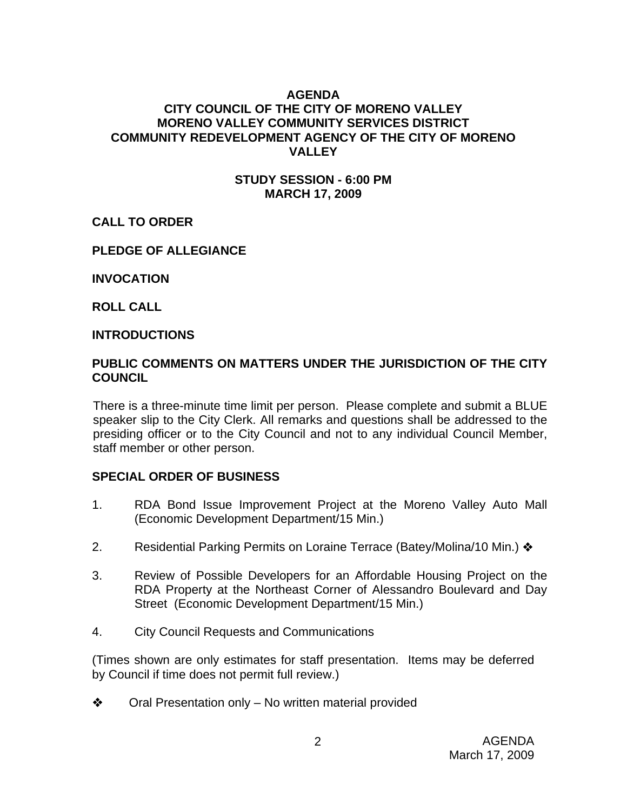#### **AGENDA**

#### **CITY COUNCIL OF THE CITY OF MORENO VALLEY MORENO VALLEY COMMUNITY SERVICES DISTRICT COMMUNITY REDEVELOPMENT AGENCY OF THE CITY OF MORENO VALLEY**

#### **STUDY SESSION - 6:00 PM MARCH 17, 2009**

#### **CALL TO ORDER**

#### **PLEDGE OF ALLEGIANCE**

**INVOCATION** 

**ROLL CALL** 

#### **INTRODUCTIONS**

#### **PUBLIC COMMENTS ON MATTERS UNDER THE JURISDICTION OF THE CITY COUNCIL**

There is a three-minute time limit per person. Please complete and submit a BLUE speaker slip to the City Clerk. All remarks and questions shall be addressed to the presiding officer or to the City Council and not to any individual Council Member, staff member or other person.

#### **SPECIAL ORDER OF BUSINESS**

- 1. RDA Bond Issue Improvement Project at the Moreno Valley Auto Mall (Economic Development Department/15 Min.)
- 2. Residential Parking Permits on Loraine Terrace (Batey/Molina/10 Min.) ❖
- 3. Review of Possible Developers for an Affordable Housing Project on the RDA Property at the Northeast Corner of Alessandro Boulevard and Day Street (Economic Development Department/15 Min.)
- 4. City Council Requests and Communications

(Times shown are only estimates for staff presentation. Items may be deferred by Council if time does not permit full review.)

 $\bullet$  Oral Presentation only – No written material provided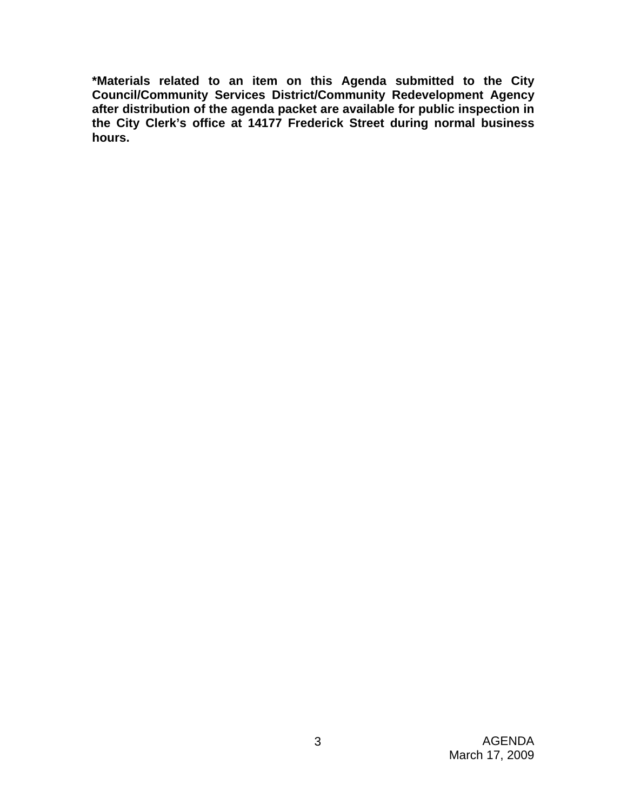**\*Materials related to an item on this Agenda submitted to the City Council/Community Services District/Community Redevelopment Agency after distribution of the agenda packet are available for public inspection in the City Clerk's office at 14177 Frederick Street during normal business hours.**